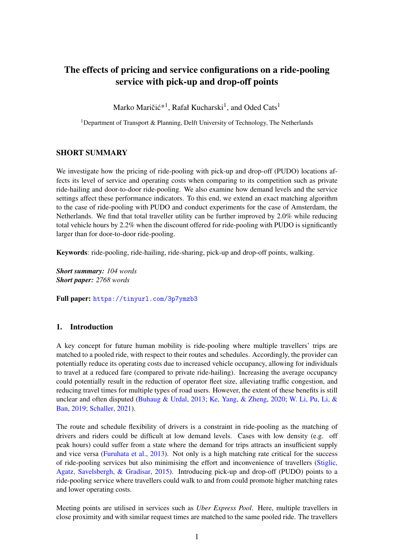# The effects of pricing and service configurations on a ride-pooling service with pick-up and drop-off points

Marko Maričić $^{\ast1}$ , Rafał Kucharski $^1$ , and Oded Cats $^1$ 

<sup>1</sup>Department of Transport & Planning, Delft University of Technology, The Netherlands

# SHORT SUMMARY

We investigate how the pricing of ride-pooling with pick-up and drop-off (PUDO) locations affects its level of service and operating costs when comparing to its competition such as private ride-hailing and door-to-door ride-pooling. We also examine how demand levels and the service settings affect these performance indicators. To this end, we extend an exact matching algorithm to the case of ride-pooling with PUDO and conduct experiments for the case of Amsterdam, the Netherlands. We find that total traveller utility can be further improved by 2.0% while reducing total vehicle hours by 2.2% when the discount offered for ride-pooling with PUDO is significantly larger than for door-to-door ride-pooling.

Keywords: ride-pooling, ride-hailing, ride-sharing, pick-up and drop-off points, walking.

*Short summary: 104 words Short paper: 2768 words*

Full paper: <https://tinyurl.com/3p7ymzb3>

# 1. Introduction

A key concept for future human mobility is ride-pooling where multiple travellers' trips are matched to a pooled ride, with respect to their routes and schedules. Accordingly, the provider can potentially reduce its operating costs due to increased vehicle occupancy, allowing for individuals to travel at a reduced fare (compared to private ride-hailing). Increasing the average occupancy could potentially result in the reduction of operator fleet size, alleviating traffic congestion, and reducing travel times for multiple types of road users. However, the extent of these benefits is still unclear and often disputed [\(Buhaug & Urdal,](#page-9-0) [2013;](#page-9-0) [Ke, Yang, & Zheng,](#page-9-1) [2020;](#page-9-1) [W. Li, Pu, Li, &](#page-9-2) [Ban,](#page-9-2) [2019;](#page-9-2) [Schaller,](#page-9-3) [2021\)](#page-9-3).

The route and schedule flexibility of drivers is a constraint in ride-pooling as the matching of drivers and riders could be difficult at low demand levels. Cases with low density (e.g. off peak hours) could suffer from a state where the demand for trips attracts an insufficient supply and vice versa [\(Furuhata et al.,](#page-9-4) [2013\)](#page-9-4). Not only is a high matching rate critical for the success of ride-pooling services but also minimising the effort and inconvenience of travellers [\(Stiglic,](#page-9-5) [Agatz, Savelsbergh, & Gradisar,](#page-9-5) [2015\)](#page-9-5). Introducing pick-up and drop-off (PUDO) points to a ride-pooling service where travellers could walk to and from could promote higher matching rates and lower operating costs.

Meeting points are utilised in services such as *Uber Express Pool*. Here, multiple travellers in close proximity and with similar request times are matched to the same pooled ride. The travellers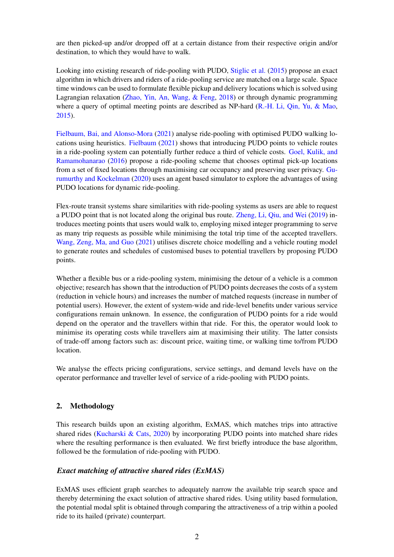are then picked-up and/or dropped off at a certain distance from their respective origin and/or destination, to which they would have to walk.

Looking into existing research of ride-pooling with PUDO, [Stiglic et al.](#page-9-5) [\(2015\)](#page-9-5) propose an exact algorithm in which drivers and riders of a ride-pooling service are matched on a large scale. Space time windows can be used to formulate flexible pickup and delivery locations which is solved using Lagrangian relaxation [\(Zhao, Yin, An, Wang, & Feng,](#page-9-6) [2018\)](#page-9-6) or through dynamic programming where a query of optimal meeting points are described as NP-hard [\(R.-H. Li, Qin, Yu, & Mao,](#page-9-7) [2015\)](#page-9-7).

[Fielbaum, Bai, and Alonso-Mora](#page-9-8) [\(2021\)](#page-9-8) analyse ride-pooling with optimised PUDO walking locations using heuristics. [Fielbaum](#page-9-9) [\(2021\)](#page-9-9) shows that introducing PUDO points to vehicle routes in a ride-pooling system can potentially further reduce a third of vehicle costs. [Goel, Kulik, and](#page-9-10) [Ramamohanarao](#page-9-10) [\(2016\)](#page-9-10) propose a ride-pooling scheme that chooses optimal pick-up locations from a set of fixed locations through maximising car occupancy and preserving user privacy. [Gu](#page-9-11)[rumurthy and Kockelman](#page-9-11) [\(2020\)](#page-9-11) uses an agent based simulator to explore the advantages of using PUDO locations for dynamic ride-pooling.

Flex-route transit systems share similarities with ride-pooling systems as users are able to request a PUDO point that is not located along the original bus route. [Zheng, Li, Qiu, and Wei](#page-9-12) [\(2019\)](#page-9-12) introduces meeting points that users would walk to, employing mixed integer programming to serve as many trip requests as possible while minimising the total trip time of the accepted travellers. [Wang, Zeng, Ma, and Guo](#page-9-13) [\(2021\)](#page-9-13) utilises discrete choice modelling and a vehicle routing model to generate routes and schedules of customised buses to potential travellers by proposing PUDO points.

Whether a flexible bus or a ride-pooling system, minimising the detour of a vehicle is a common objective; research has shown that the introduction of PUDO points decreases the costs of a system (reduction in vehicle hours) and increases the number of matched requests (increase in number of potential users). However, the extent of system-wide and ride-level benefits under various service configurations remain unknown. In essence, the configuration of PUDO points for a ride would depend on the operator and the travellers within that ride. For this, the operator would look to minimise its operating costs while travellers aim at maximising their utility. The latter consists of trade-off among factors such as: discount price, waiting time, or walking time to/from PUDO location.

We analyse the effects pricing configurations, service settings, and demand levels have on the operator performance and traveller level of service of a ride-pooling with PUDO points.

# 2. Methodology

This research builds upon an existing algorithm, ExMAS, which matches trips into attractive shared rides [\(Kucharski & Cats,](#page-9-14)  $2020$ ) by incorporating PUDO points into matched share rides where the resulting performance is then evaluated. We first briefly introduce the base algorithm, followed be the formulation of ride-pooling with PUDO.

# *Exact matching of attractive shared rides (ExMAS)*

ExMAS uses efficient graph searches to adequately narrow the available trip search space and thereby determining the exact solution of attractive shared rides. Using utility based formulation, the potential modal split is obtained through comparing the attractiveness of a trip within a pooled ride to its hailed (private) counterpart.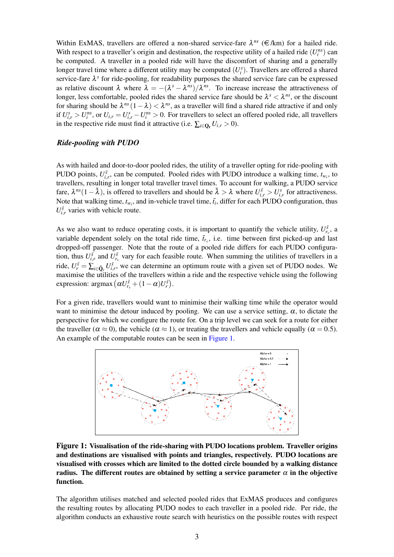Within ExMAS, travellers are offered a non-shared service-fare  $\lambda^{ns}$  ( $\in$ /km) for a hailed ride. With respect to a traveller's origin and destination, the respective utility of a hailed ride  $(U_i^{ns})$  can be computed. A traveller in a pooled ride will have the discomfort of sharing and a generally longer travel time where a different utility may be computed  $(U_i^s)$ . Travellers are offered a shared service-fare  $\lambda^s$  for ride-pooling, for readability purposes the shared service fare can be expressed as relative discount  $\lambda$  where  $\lambda = -(\lambda^s - \lambda^{ns})/\lambda^{ns}$ . To increase increase the attractiveness of longer, less comfortable, pooled rides the shared service fare should be  $\lambda^s < \lambda^{ns}$ , or the discount for sharing should be  $\lambda^{ns}(1-\lambda) < \lambda^{ns}$ , as a traveller will find a shared ride attractive if and only if  $U_{i,r}^s > U_i^{ns}$ , or  $U_{i,r} = U_{i,r}^s - U_i^{ns} > 0$ . For travellers to select an offered pooled ride, all travellers in the respective ride must find it attractive (i.e.  $\sum_{i \in \mathbf{O}_r} U_{i,r} > 0$ ).

#### *Ride-pooling with PUDO*

As with hailed and door-to-door pooled rides, the utility of a traveller opting for ride-pooling with PUDO points,  $U_{i,r}^{\tilde{s}}$ , can be computed. Pooled rides with PUDO introduce a walking time,  $t_{w_i}$ , to travellers, resulting in longer total traveller travel times. To account for walking, a PUDO service fare,  $\lambda^{ns}(1-\tilde{\lambda})$ , is offered to travellers and should be  $\tilde{\lambda} > \lambda$  where  $U_{i,r}^{\tilde{s}} > U_{i,r}^s$  for attractiveness. Note that walking time,  $t_{w_i}$ , and in-vehicle travel time,  $\tilde{t}_i$ , differ for each PUDO configuration, thus  $U_{i,r}^{\tilde{s}}$  varies with vehicle route.

As we also want to reduce operating costs, it is important to quantify the vehicle utility,  $U_{r_v}^{\tilde{s}}$ , a variable dependent solely on the total ride time,  $\tilde{t}_{r_v}$ , i.e. time between first picked-up and last dropped-off passenger. Note that the route of a pooled ride differs for each PUDO configuration, thus  $U_{i,r}^{\tilde{s}}$  and  $U_{r_v}^{\tilde{s}}$  vary for each feasible route. When summing the utilities of travellers in a ride,  $U_r^{\tilde{s}} = \sum_{i \in \tilde{\mathbf{Q}}_r} U_{i,r}^{\tilde{s}}$ , we can determine an optimum route with a given set of PUDO nodes. We maximise the utilities of the travellers within a ride and the respective vehicle using the following expression:  $\operatorname{argmax} (\alpha U_{r_v}^{\tilde{s}} + (1 - \alpha)U_r^{\tilde{s}}).$ 

For a given ride, travellers would want to minimise their walking time while the operator would want to minimise the detour induced by pooling. We can use a service setting,  $\alpha$ , to dictate the perspective for which we configure the route for. On a trip level we can seek for a route for either the traveller ( $\alpha \approx 0$ ), the vehicle ( $\alpha \approx 1$ ), or treating the travellers and vehicle equally ( $\alpha = 0.5$ ). An example of the computable routes can be seen in [Figure 1.](#page-2-0)

<span id="page-2-0"></span>

Figure 1: Visualisation of the ride-sharing with PUDO locations problem. Traveller origins and destinations are visualised with points and triangles, respectively. PUDO locations are visualised with crosses which are limited to the dotted circle bounded by a walking distance radius. The different routes are obtained by setting a service parameter  $\alpha$  in the objective function.

The algorithm utilises matched and selected pooled rides that ExMAS produces and configures the resulting routes by allocating PUDO nodes to each traveller in a pooled ride. Per ride, the algorithm conducts an exhaustive route search with heuristics on the possible routes with respect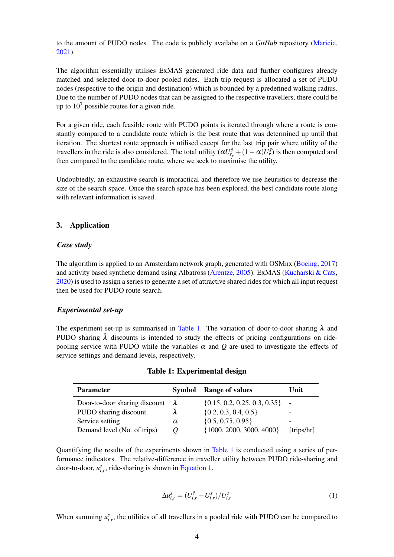to the amount of PUDO nodes. The code is publicly availabe on a *GitHub* repository [\(Maricic,](#page-9-15) [2021\)](#page-9-15).

The algorithm essentially utilises ExMAS generated ride data and further configures already matched and selected door-to-door pooled rides. Each trip request is allocated a set of PUDO nodes (respective to the origin and destination) which is bounded by a predefined walking radius. Due to the number of PUDO nodes that can be assigned to the respective travellers, there could be up to  $10<sup>7</sup>$  possible routes for a given ride.

For a given ride, each feasible route with PUDO points is iterated through where a route is constantly compared to a candidate route which is the best route that was determined up until that iteration. The shortest route approach is utilised except for the last trip pair where utility of the travellers in the ride is also considered. The total utility  $(\alpha U_{r_v}^{\tilde{s}} + (1 - \alpha)U_r^{\tilde{s}})$  is then computed and then compared to the candidate route, where we seek to maximise the utility.

Undoubtedly, an exhaustive search is impractical and therefore we use heuristics to decrease the size of the search space. Once the search space has been explored, the best candidate route along with relevant information is saved.

# 3. Application

#### *Case study*

The algorithm is applied to an Amsterdam network graph, generated with OSMnx [\(Boeing,](#page-9-16) [2017\)](#page-9-16) and activity based synthetic demand using Albatross [\(Arentze,](#page-9-17) [2005\)](#page-9-17). ExMAS [\(Kucharski & Cats,](#page-9-14) [2020\)](#page-9-14) is used to assign a series to generate a set of attractive shared rides for which all input request then be used for PUDO route search.

# *Experimental set-up*

The experiment set-up is summarised in [Table 1.](#page-3-0) The variation of door-to-door sharing  $\lambda$  and PUDO sharing  $\lambda$  discounts is intended to study the effects of pricing configurations on ridepooling service with PUDO while the variables  $\alpha$  and  $\beta$  are used to investigate the effects of service settings and demand levels, respectively.

<span id="page-3-0"></span>

| <b>Parameter</b>              | <b>Symbol</b> | <b>Range of values</b>           | Unit       |
|-------------------------------|---------------|----------------------------------|------------|
| Door-to-door sharing discount | λ             | $\{0.15, 0.2, 0.25, 0.3, 0.35\}$ | $\sim$     |
| PUDO sharing discount         |               | $\{0.2, 0.3, 0.4, 0.5\}$         |            |
| Service setting               | $\alpha$      | $\{0.5, 0.75, 0.95\}$            |            |
| Demand level (No. of trips)   |               | $\{1000, 2000, 3000, 4000\}$     | [trips/hr] |

Table 1: Experimental design

Quantifying the results of the experiments shown in [Table 1](#page-3-0) is conducted using a series of performance indicators. The relative-difference in traveller utility between PUDO ride-sharing and door-to-door,  $u_{i,r}^s$ , ride-sharing is shown in [Equation 1.](#page-3-1)

<span id="page-3-1"></span>
$$
\Delta u_{i,r}^s = (U_{i,r}^{\tilde{s}} - U_{i,r}^s) / U_{i,r}^s
$$
 (1)

When summing  $u_{i,r}^s$ , the utilities of all travellers in a pooled ride with PUDO can be compared to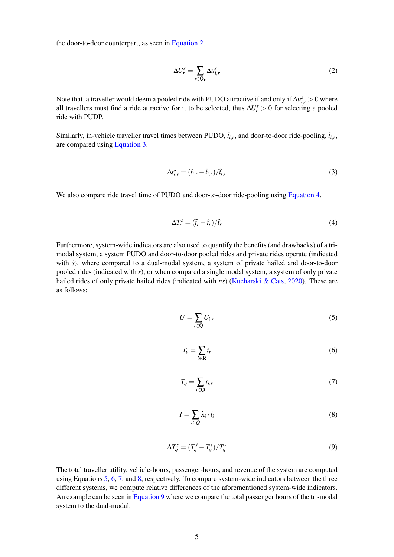the door-to-door counterpart, as seen in [Equation 2.](#page-4-0)

<span id="page-4-0"></span>
$$
\Delta U_r^s = \sum_{i \in \mathbf{Q}_r} \Delta u_{i,r}^s \tag{2}
$$

Note that, a traveller would deem a pooled ride with PUDO attractive if and only if  $\Delta u_{i,r}^s > 0$  where all travellers must find a ride attractive for it to be selected, thus  $\Delta U_r^s > 0$  for selecting a pooled ride with PUDP.

Similarly, in-vehicle traveller travel times between PUDO,  $\tilde{t}_{i,r}$ , and door-to-door ride-pooling,  $\hat{t}_{i,r}$ , are compared using [Equation 3.](#page-4-1)

<span id="page-4-1"></span>
$$
\Delta t_{i,r}^s = \left(\tilde{t}_{i,r} - \hat{t}_{i,r}\right) / \hat{t}_{i,r} \tag{3}
$$

We also compare ride travel time of PUDO and door-to-door ride-pooling using [Equation 4.](#page-4-2)

<span id="page-4-2"></span>
$$
\Delta T_r^s = (\tilde{t}_r - \hat{t}_r)/\hat{t}_r \tag{4}
$$

Furthermore, system-wide indicators are also used to quantify the benefits (and drawbacks) of a trimodal system, a system PUDO and door-to-door pooled rides and private rides operate (indicated with  $\tilde{s}$ ), where compared to a dual-modal system, a system of private hailed and door-to-door pooled rides (indicated with *s*), or when compared a single modal system, a system of only private hailed rides of only private hailed rides (indicated with *ns*) [\(Kucharski & Cats,](#page-9-14) [2020\)](#page-9-14). These are as follows:

<span id="page-4-3"></span>
$$
U = \sum_{i \in \mathbf{Q}} U_{i,r} \tag{5}
$$

<span id="page-4-4"></span>
$$
T_v = \sum_{i \in \mathbf{R}} t_r \tag{6}
$$

<span id="page-4-5"></span>
$$
T_q = \sum_{i \in \mathbf{Q}} t_{i,r} \tag{7}
$$

<span id="page-4-6"></span>
$$
I = \sum_{i \in Q} \lambda_i \cdot l_i \tag{8}
$$

<span id="page-4-7"></span>
$$
\Delta T_q^s = (T_q^{\tilde{s}} - T_q^s) / T_q^s \tag{9}
$$

The total traveller utility, vehicle-hours, passenger-hours, and revenue of the system are computed using Equations [5,](#page-4-3) [6,](#page-4-4) [7,](#page-4-5) and [8,](#page-4-6) respectively. To compare system-wide indicators between the three different systems, we compute relative differences of the aforementioned system-wide indicators. An example can be seen in [Equation 9](#page-4-7) where we compare the total passenger hours of the tri-modal system to the dual-modal.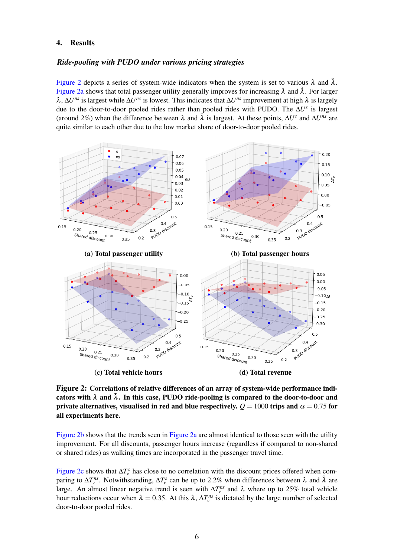#### 4. Results

## *Ride-pooling with PUDO under various pricing strategies*

[Figure 2](#page-5-0) depicts a series of system-wide indicators when the system is set to various  $\lambda$  and  $\lambda$ . [Figure 2a](#page-5-0) shows that total passenger utility generally improves for increasing  $\lambda$  and  $\tilde{\lambda}$ . For larger λ, ∆*U ns* is largest while ∆*U ns* is lowest. This indicates that ∆*U ns* improvement at high λ is largely due to the door-to-door pooled rides rather than pooled rides with PUDO. The ∆*U s* is largest (around 2%) when the difference between  $\lambda$  and  $\tilde{\lambda}$  is largest. At these points,  $\Delta U^s$  and  $\Delta U^{ns}$  are quite similar to each other due to the low market share of door-to-door pooled rides.

<span id="page-5-0"></span>

Figure 2: Correlations of relative differences of an array of system-wide performance indicators with  $\lambda$  and  $\tilde{\lambda}$ . In this case, PUDO ride-pooling is compared to the door-to-door and private alternatives, visualised in red and blue respectively.  $Q = 1000$  trips and  $\alpha = 0.75$  for all experiments here.

[Figure 2b](#page-5-0) shows that the trends seen in [Figure 2a](#page-5-0) are almost identical to those seen with the utility improvement. For all discounts, passenger hours increase (regardless if compared to non-shared or shared rides) as walking times are incorporated in the passenger travel time.

[Figure 2c](#page-5-0) shows that  $\Delta T_v^s$  has close to no correlation with the discount prices offered when comparing to  $\Delta T_v^{ns}$ . Notwithstanding,  $\Delta T_v^s$  can be up to 2.2% when differences between  $\lambda$  and  $\tilde{\lambda}$  are large. An almost linear negative trend is seen with  $\Delta T_v^{ns}$  and  $\lambda$  where up to 25% total vehicle hour reductions occur when  $\lambda = 0.35$ . At this  $\lambda$ ,  $\Delta T_v^{ns}$  is dictated by the large number of selected door-to-door pooled rides.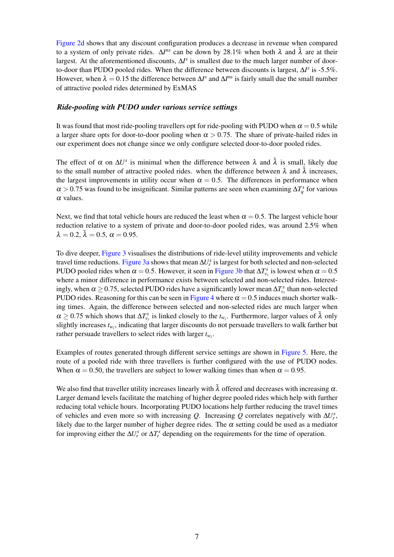[Figure 2d](#page-5-0) shows that any discount configuration produces a decrease in revenue when compared to a system of only private rides.  $\Delta I^{ns}$  can be down by 28.1% when both  $\lambda$  and  $\tilde{\lambda}$  are at their largest. At the aforementioned discounts,  $\Delta I^s$  is smallest due to the much larger number of doorto-door than PUDO pooled rides. When the difference between discounts is largest, ∆*I s* is -5.5%. However, when  $\lambda = 0.15$  the difference between  $\Delta I^s$  and  $\Delta I^{ns}$  is fairly small due the small number of attractive pooled rides determined by ExMAS

#### *Ride-pooling with PUDO under various service settings*

It was found that most ride-pooling travellers opt for ride-pooling with PUDO when  $\alpha = 0.5$  while a larger share opts for door-to-door pooling when  $\alpha > 0.75$ . The share of private-hailed rides in our experiment does not change since we only configure selected door-to-door pooled rides.

The effect of  $\alpha$  on  $\Delta U^s$  is minimal when the difference between  $\lambda$  and  $\tilde{\lambda}$  is small, likely due to the small number of attractive pooled rides. when the difference between  $\lambda$  and  $\tilde{\lambda}$  increases, the largest improvements in utility occur when  $\alpha = 0.5$ . The differences in performance when  $\alpha > 0.75$  was found to be insignificant. Similar patterns are seen when examining  $\Delta T_q^s$  for various  $\alpha$  values.

Next, we find that total vehicle hours are reduced the least when  $\alpha = 0.5$ . The largest vehicle hour reduction relative to a system of private and door-to-door pooled rides, was around 2.5% when  $\lambda = 0.2, \tilde{\lambda} = 0.5, \alpha = 0.95.$ 

To dive deeper, [Figure 3](#page-7-0) visualises the distributions of ride-level utility improvements and vehicle travel time reductions. [Figure 3a](#page-7-0) shows that mean  $\Delta U_r^s$  is largest for both selected and non-selected PUDO pooled rides when  $\alpha = 0.5$ . However, it seen in [Figure 3b](#page-7-0) that  $\Delta T_{\nu}^s$  is lowest when  $\alpha = 0.5$ where a minor difference in performance exists between selected and non-selected rides. Interestingly, when  $\alpha \ge 0.75$ , selected PUDO rides have a significantly lower mean  $\Delta T_{v_r}^s$  than non-selected PUDO rides. Reasoning for this can be seen in [Figure 4](#page-7-1) where  $\alpha = 0.5$  induces much shorter walking times. Again, the difference between selected and non-selected rides are much larger when  $\alpha \ge 0.75$  which shows that  $\Delta T_{v_r}^s$  is linked closely to the  $t_{w_i}$ . Furthermore, larger values of  $\tilde{\lambda}$  only slightly increases  $t_{w_i}$ , indicating that larger discounts do not persuade travellers to walk farther but rather persuade travellers to select rides with larger *tw<sup>i</sup>* .

Examples of routes generated through different service settings are shown in [Figure 5.](#page-8-0) Here, the route of a pooled ride with three travellers is further configured with the use of PUDO nodes. When  $\alpha = 0.50$ , the travellers are subject to lower walking times than when  $\alpha = 0.95$ .

We also find that traveller utility increases linearly with  $\tilde{\lambda}$  offered and decreases with increasing  $\alpha$ . Larger demand levels facilitate the matching of higher degree pooled rides which help with further reducing total vehicle hours. Incorporating PUDO locations help further reducing the travel times of vehicles and even more so with increasing *Q*. Increasing *Q* correlates negatively with  $\Delta U_r^s$ , likely due to the larger number of higher degree rides. The  $\alpha$  setting could be used as a mediator for improving either the  $\Delta U_r^s$  or  $\Delta T_r^s$  depending on the requirements for the time of operation.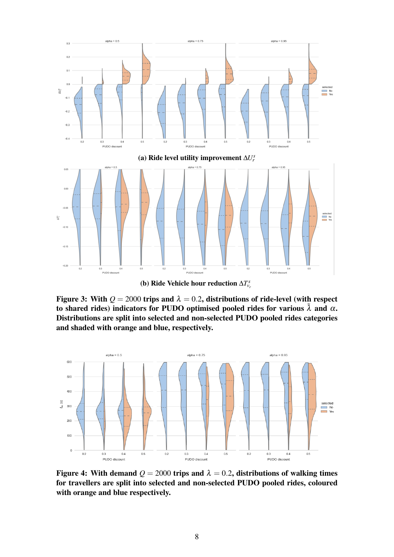<span id="page-7-0"></span>

(b) Ride Vehicle hour reduction  $\Delta T_{\nu}^s$ 

Figure 3: With  $Q = 2000$  trips and  $\lambda = 0.2$ , distributions of ride-level (with respect to shared rides) indicators for PUDO optimised pooled rides for various  $\tilde{\lambda}$  and  $\alpha$ . Distributions are split into selected and non-selected PUDO pooled rides categories and shaded with orange and blue, respectively.

<span id="page-7-1"></span>

Figure 4: With demand  $Q = 2000$  trips and  $\lambda = 0.2$ , distributions of walking times for travellers are split into selected and non-selected PUDO pooled rides, coloured with orange and blue respectively.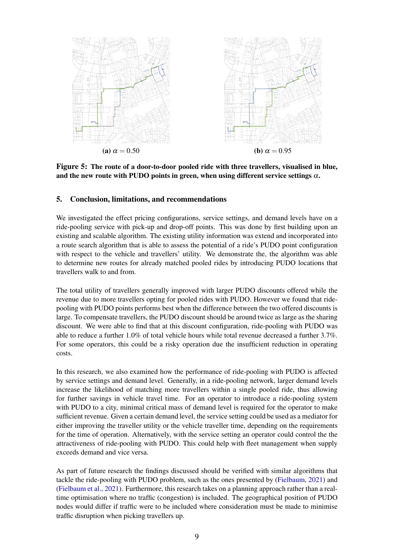<span id="page-8-0"></span>

Figure 5: The route of a door-to-door pooled ride with three travellers, visualised in blue, and the new route with PUDO points in green, when using different service settings  $\alpha$ .

# 5. Conclusion, limitations, and recommendations

We investigated the effect pricing configurations, service settings, and demand levels have on a ride-pooling service with pick-up and drop-off points. This was done by first building upon an existing and scalable algorithm. The existing utility information was extend and incorporated into a route search algorithm that is able to assess the potential of a ride's PUDO point configuration with respect to the vehicle and travellers' utility. We demonstrate the, the algorithm was able to determine new routes for already matched pooled rides by introducing PUDO locations that travellers walk to and from.

The total utility of travellers generally improved with larger PUDO discounts offered while the revenue due to more travellers opting for pooled rides with PUDO. However we found that ridepooling with PUDO points performs best when the difference between the two offered discounts is large. To compensate travellers, the PUDO discount should be around twice as large as the sharing discount. We were able to find that at this discount configuration, ride-pooling with PUDO was able to reduce a further 1.0% of total vehicle hours while total revenue decreased a further 3.7%. For some operators, this could be a risky operation due the insufficient reduction in operating costs.

In this research, we also examined how the performance of ride-pooling with PUDO is affected by service settings and demand level. Generally, in a ride-pooling network, larger demand levels increase the likelihood of matching more travellers within a single pooled ride, thus allowing for further savings in vehicle travel time. For an operator to introduce a ride-pooling system with PUDO to a city, minimal critical mass of demand level is required for the operator to make sufficient revenue. Given a certain demand level, the service setting could be used as a mediator for either improving the traveller utility or the vehicle traveller time, depending on the requirements for the time of operation. Alternatively, with the service setting an operator could control the the attractiveness of ride-pooling with PUDO. This could help with fleet management when supply exceeds demand and vice versa.

As part of future research the findings discussed should be verified with similar algorithms that tackle the ride-pooling with PUDO problem, such as the ones presented by [\(Fielbaum,](#page-9-9) [2021\)](#page-9-9) and [\(Fielbaum et al.,](#page-9-8) [2021\)](#page-9-8). Furthermore, this research takes on a planning approach rather than a realtime optimisation where no traffic (congestion) is included. The geographical position of PUDO nodes would differ if traffic were to be included where consideration must be made to minimise traffic disruption when picking travellers up.